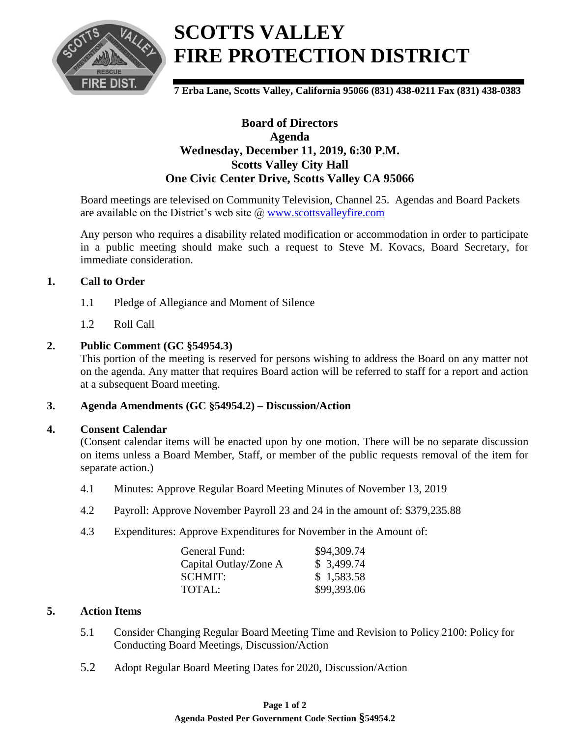

**7 Erba Lane, Scotts Valley, California 95066 (831) 438-0211 Fax (831) 438-0383**

### **Board of Directors Agenda Wednesday, December 11, 2019, 6:30 P.M. Scotts Valley City Hall One Civic Center Drive, Scotts Valley CA 95066**

Board meetings are televised on Community Television, Channel 25. Agendas and Board Packets are available on the District's web site @ [www.scottsvalleyfire.com](2013/2012/www.scottsvalleyfire.com)

Any person who requires a disability related modification or accommodation in order to participate in a public meeting should make such a request to Steve M. Kovacs, Board Secretary, for immediate consideration.

### **1. Call to Order**

- 1.1 Pledge of Allegiance and Moment of Silence
- 1.2 Roll Call

### **2. Public Comment (GC §54954.3)**

This portion of the meeting is reserved for persons wishing to address the Board on any matter not on the agenda. Any matter that requires Board action will be referred to staff for a report and action at a subsequent Board meeting.

### **3. Agenda Amendments (GC §54954.2) – Discussion/Action**

### **4. Consent Calendar**

(Consent calendar items will be enacted upon by one motion. There will be no separate discussion on items unless a Board Member, Staff, or member of the public requests removal of the item for separate action.)

- 4.1 Minutes: Approve Regular Board Meeting Minutes of November 13, 2019
- 4.2 Payroll: Approve November Payroll 23 and 24 in the amount of: \$379,235.88
- 4.3 Expenditures: Approve Expenditures for November in the Amount of:

| General Fund:         | \$94,309.74 |
|-----------------------|-------------|
| Capital Outlay/Zone A | \$3,499.74  |
| SCHMIT:               | \$1,583.58  |
| TOTAL:                | \$99,393.06 |

### **5. Action Items**

- 5.1 Consider Changing Regular Board Meeting Time and Revision to Policy 2100: Policy for Conducting Board Meetings, Discussion/Action
- 5.2 Adopt Regular Board Meeting Dates for 2020, Discussion/Action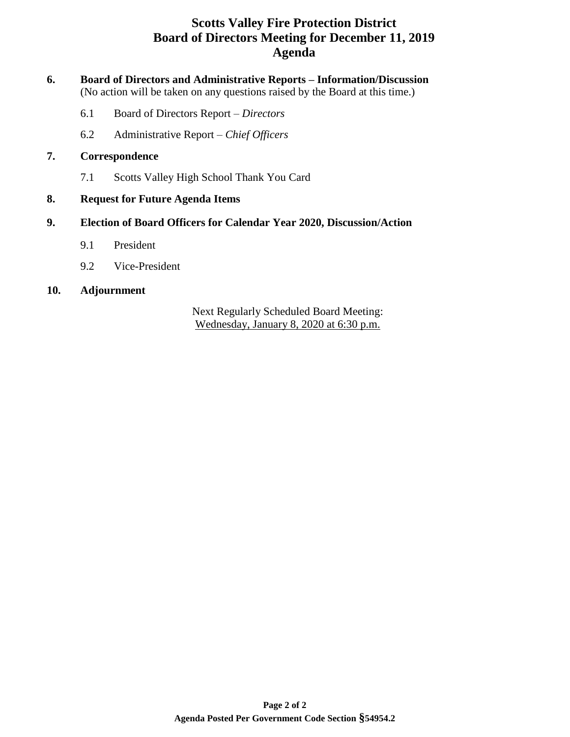## **Scotts Valley Fire Protection District Board of Directors Meeting for December 11, 2019 Agenda**

### **6. Board of Directors and Administrative Reports – Information/Discussion** (No action will be taken on any questions raised by the Board at this time.)

- 6.1 Board of Directors Report *Directors*
- 6.2 Administrative Report *Chief Officers*

### **7. Correspondence**

7.1 Scotts Valley High School Thank You Card

### **8. Request for Future Agenda Items**

### **9. Election of Board Officers for Calendar Year 2020, Discussion/Action**

- 9.1 President
- 9.2 Vice-President

### **10. Adjournment**

Next Regularly Scheduled Board Meeting: Wednesday, January 8, 2020 at 6:30 p.m.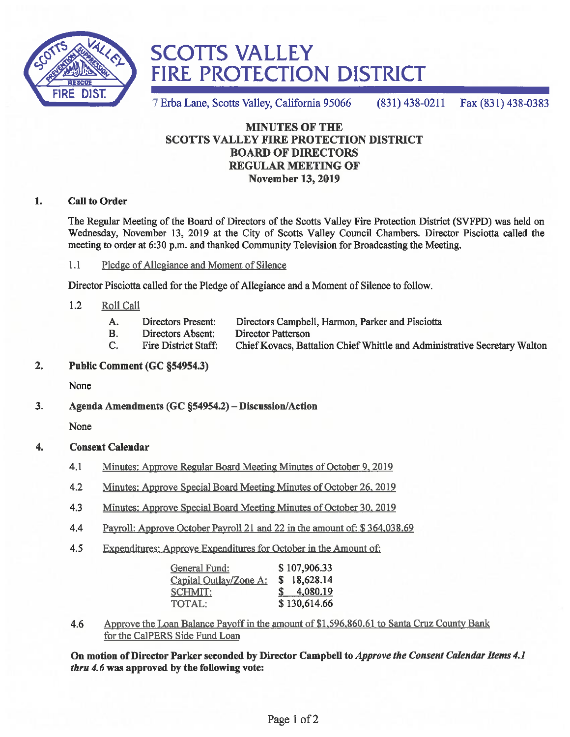

7 Erba Lane, Scotts Valley, California 95066 Fax (831) 438-0383  $(831)$  438-0211

### **MINUTES OF THE SCOTTS VALLEY FIRE PROTECTION DISTRICT BOARD OF DIRECTORS REGULAR MEETING OF November 13, 2019**

#### **Call to Order** 1.

The Regular Meeting of the Board of Directors of the Scotts Valley Fire Protection District (SVFPD) was held on Wednesday, November 13, 2019 at the City of Scotts Valley Council Chambers. Director Pisciotta called the meeting to order at 6:30 p.m. and thanked Community Television for Broadcasting the Meeting.

 $1.1$ Pledge of Allegiance and Moment of Silence

Director Pisciotta called for the Pledge of Allegiance and a Moment of Silence to follow.

- $1.2$ Roll Call
	- A. **Directors Present:** Directors Campbell, Harmon, Parker and Pisciotta
	- Directors Absent: **Director Patterson B.**
	- **Fire District Staff:** Chief Kovacs, Battalion Chief Whittle and Administrative Secretary Walton C.

#### $2.$ Public Comment (GC §54954.3)

None

 $3<sub>1</sub>$ Agenda Amendments (GC §54954.2) - Discussion/Action

None

#### **Consent Calendar**  $\overline{4}$ .

- $4.1$ Minutes: Approve Regular Board Meeting Minutes of October 9, 2019
- $4.2$ Minutes: Approve Special Board Meeting Minutes of October 26, 2019
- $4.3$ Minutes: Approve Special Board Meeting Minutes of October 30, 2019
- 4.4 Payroll: Approve October Payroll 21 and 22 in the amount of: \$364,038.69
- 4.5 Expenditures: Approve Expenditures for October in the Amount of:

| General Fund:          | \$107,906.33 |
|------------------------|--------------|
| Capital Outlay/Zone A: | \$18,628.14  |
| <b>SCHMIT:</b>         | 4,080.19     |
| TOTAL:                 | \$130,614.66 |

Approve the Loan Balance Payoff in the amount of \$1,596,860.61 to Santa Cruz County Bank 4.6 for the CalPERS Side Fund Loan

On motion of Director Parker seconded by Director Campbell to Approve the Consent Calendar Items 4.1 *thru* 4.6 was approved by the following vote: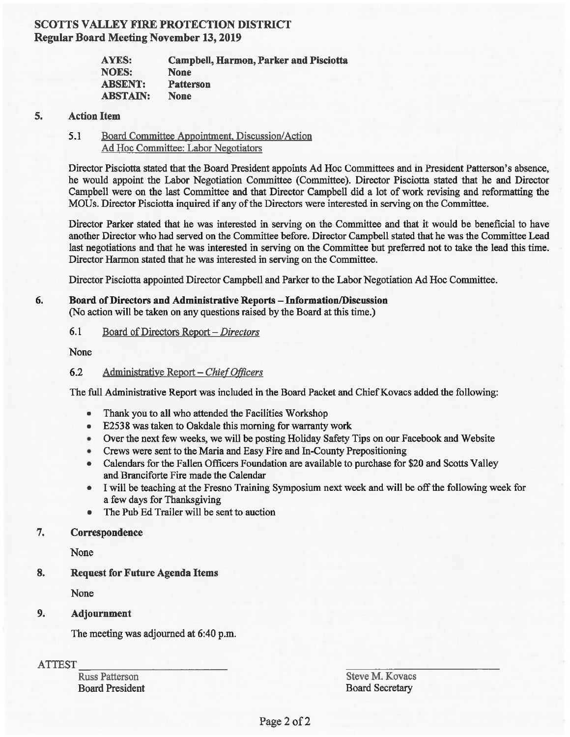### **SCOTTS VALLEY FIRE PROTECTION DISTRICT Regular Board Meeting November 13, 2019**

| <b>AYES:</b>    | <b>Campbell, Harmon, Parker and Pisciotta</b> |
|-----------------|-----------------------------------------------|
| <b>NOES:</b>    | <b>None</b>                                   |
| <b>ABSENT:</b>  | <b>Patterson</b>                              |
| <b>ABSTAIN:</b> | <b>None</b>                                   |

#### 5. **Action Item**

#### 5.1 Board Committee Appointment, Discussion/Action Ad Hoc Committee: Labor Negotiators

Director Pisciotta stated that the Board President appoints Ad Hoc Committees and in President Patterson's absence, he would appoint the Labor Negotiation Committee (Committee). Director Pisciotta stated that he and Director Campbell were on the last Committee and that Director Campbell did a lot of work revising and reformatting the MOUs. Director Pisciotta inquired if any of the Directors were interested in serving on the Committee.

Director Parker stated that he was interested in serving on the Committee and that it would be beneficial to have another Director who had served on the Committee before. Director Campbell stated that he was the Committee Lead last negotiations and that he was interested in serving on the Committee but preferred not to take the lead this time. Director Harmon stated that he was interested in serving on the Committee.

Director Pisciotta appointed Director Campbell and Parker to the Labor Negotiation Ad Hoc Committee.

### Board of Directors and Administrative Reports - Information/Discussion

(No action will be taken on any questions raised by the Board at this time.)

#### $6.1$ Board of Directors Report – Directors

None

6.

#### $6.2$ Administrative Report - Chief Officers

The full Administrative Report was included in the Board Packet and Chief Kovacs added the following:

- Thank you to all who attended the Facilities Workshop  $\bullet$
- E2538 was taken to Oakdale this morning for warranty work
- Over the next few weeks, we will be posting Holiday Safety Tips on our Facebook and Website
- Crews were sent to the Maria and Easy Fire and In-County Prepositioning
- Calendars for the Fallen Officers Foundation are available to purchase for \$20 and Scotts Valley and Branciforte Fire made the Calendar
- I will be teaching at the Fresno Training Symposium next week and will be off the following week for  $\bullet$ a few days for Thanksgiving
- The Pub Ed Trailer will be sent to auction  $\bullet$

#### 7. Correspondence

None

#### 8. **Request for Future Agenda Items**

None

#### 9. Adjournment

The meeting was adjourned at 6:40 p.m.

**ATTEST** 

**Russ Patterson Board President**  Steve M. Kovacs **Board Secretary**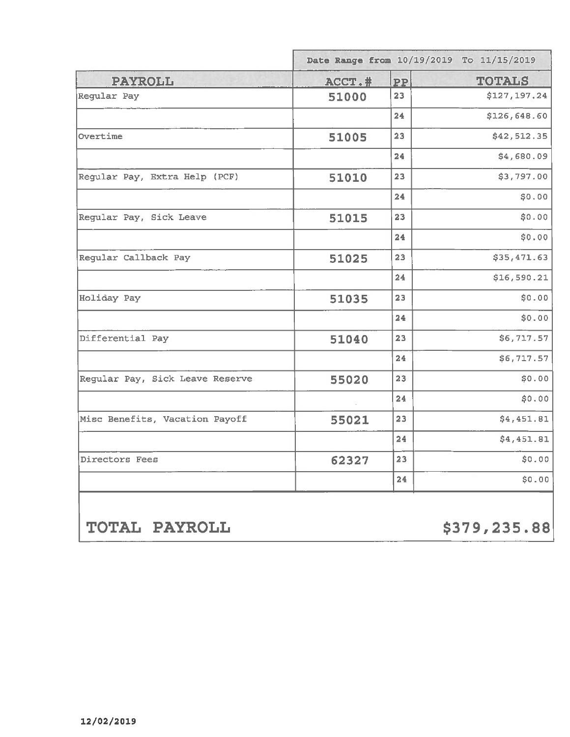|                                 | Date Range from 10/19/2019 To 11/15/2019 |           |               |
|---------------------------------|------------------------------------------|-----------|---------------|
| <b>PAYROLL</b>                  | ACCT.#                                   | <b>PP</b> | <b>TOTALS</b> |
| Regular Pay                     | 51000                                    | 23        | \$127,197.24  |
|                                 |                                          | 24        | \$126,648.60  |
| Overtime                        | 51005                                    | 23        | \$42,512.35   |
|                                 |                                          | 24        | \$4,680.09    |
| Regular Pay, Extra Help (PCF)   | 51010                                    | 23        | \$3,797.00    |
|                                 |                                          | 24        | \$0.00        |
| Regular Pay, Sick Leave         | 51015                                    | 23        | \$0.00        |
|                                 |                                          | 24        | \$0.00        |
| Regular Callback Pay            | 51025                                    | 23        | \$35,471.63   |
|                                 |                                          | 24        | \$16,590.21   |
| Holiday Pay                     | 51035                                    | 23        | \$0.00        |
|                                 |                                          | 24        | \$0.00        |
| Differential Pay                | 51040                                    | 23        | \$6,717.57    |
|                                 |                                          | 24        | \$6,717.57    |
| Regular Pay, Sick Leave Reserve | 55020                                    | 23        | \$0.00        |
|                                 |                                          | 24        | \$0.00        |
| Misc Benefits, Vacation Payoff  | 55021                                    | 23        | \$4,451.81    |
|                                 |                                          | 24        | \$4,451.81    |
| Directors Fees                  | 62327                                    | 23        | \$0.00        |
|                                 |                                          | 24        | \$0.00        |

TOTAL PAYROLL

\$379,235.88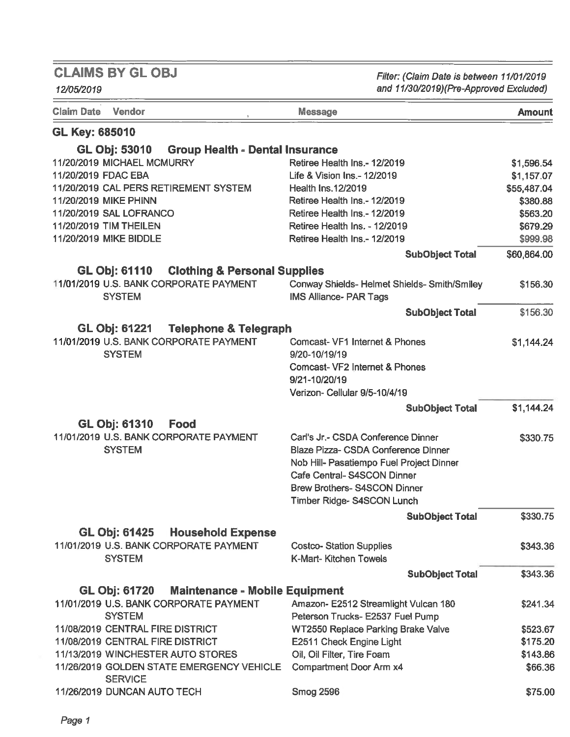12/05/2019

Filter: (Claim Date is between 11/01/2019 and 11/30/2019)(Pre-Approved Excluded)

| <b>Claim Date</b><br><b>Vendor</b>                             | <b>Message</b>                                                                | <b>Amount</b> |
|----------------------------------------------------------------|-------------------------------------------------------------------------------|---------------|
| <b>GL Key: 685010</b>                                          |                                                                               |               |
| <b>GL Obj: 53010</b><br><b>Group Health - Dental Insurance</b> |                                                                               |               |
| 11/20/2019 MICHAEL MCMURRY                                     | Retiree Health Ins.- 12/2019                                                  | \$1,596.54    |
| 11/20/2019 FDAC EBA                                            | Life & Vision Ins.- 12/2019                                                   | \$1,157.07    |
| 11/20/2019 CAL PERS RETIREMENT SYSTEM                          | <b>Health Ins.12/2019</b>                                                     | \$55,487.04   |
| 11/20/2019 MIKE PHINN                                          | Retiree Health Ins.- 12/2019                                                  | \$380.88      |
| 11/20/2019 SAL LOFRANCO                                        | Retiree Health Ins.- 12/2019                                                  | \$563.20      |
| 11/20/2019 TIM THEILEN                                         | Retiree Health Ins. - 12/2019                                                 | \$679.29      |
| 11/20/2019 MIKE BIDDLE                                         | Retiree Health Ins.- 12/2019                                                  | \$999.98      |
|                                                                | <b>SubObject Total</b>                                                        | \$60,864.00   |
| GL Obj: 61110<br><b>Clothing &amp; Personal Supplies</b>       |                                                                               |               |
| 11/01/2019 U.S. BANK CORPORATE PAYMENT<br><b>SYSTEM</b>        | Conway Shields- Helmet Shields- Smith/Smiley<br><b>IMS Alliance- PAR Tags</b> | \$156.30      |
|                                                                | <b>SubObject Total</b>                                                        | \$156.30      |
| GL Obj: 61221<br><b>Telephone &amp; Telegraph</b>              |                                                                               |               |
| 11/01/2019 U.S. BANK CORPORATE PAYMENT<br><b>SYSTEM</b>        | Comcast- VF1 Internet & Phones<br>9/20-10/19/19                               | \$1,144.24    |
|                                                                | Comcast-VF2 Internet & Phones                                                 |               |
|                                                                | 9/21-10/20/19                                                                 |               |
|                                                                | Verizon- Cellular 9/5-10/4/19                                                 |               |
|                                                                |                                                                               | \$1,144.24    |
|                                                                | <b>SubObject Total</b>                                                        |               |
| <b>GL Obj: 61310</b><br>Food                                   |                                                                               |               |
| 11/01/2019 U.S. BANK CORPORATE PAYMENT                         | Carl's Jr.- CSDA Conference Dinner                                            | \$330.75      |
| <b>SYSTEM</b>                                                  | Blaze Pizza- CSDA Conference Dinner                                           |               |
|                                                                | Nob Hill- Pasatiempo Fuel Project Dinner                                      |               |
|                                                                | Cafe Central-S4SCON Dinner                                                    |               |
|                                                                | <b>Brew Brothers-S4SCON Dinner</b>                                            |               |
|                                                                | Timber Ridge- S4SCON Lunch                                                    |               |
|                                                                | <b>SubObject Total</b>                                                        | \$330.75      |
| <b>GL Obj: 61425</b><br><b>Household Expense</b>               |                                                                               |               |
| 11/01/2019 U.S. BANK CORPORATE PAYMENT                         | <b>Costco-Station Supplies</b>                                                | \$343,36      |
| <b>SYSTEM</b>                                                  | K-Mart- Kitchen Towels                                                        |               |
|                                                                | <b>SubObject Total</b>                                                        | \$343.36      |
| <b>GL Obj: 61720</b><br><b>Maintenance - Mobile Equipment</b>  |                                                                               |               |
| 11/01/2019 U.S. BANK CORPORATE PAYMENT                         | Amazon- E2512 Streamlight Vulcan 180                                          | \$241.34      |
| <b>SYSTEM</b>                                                  | Peterson Trucks- E2537 Fuel Pump                                              |               |
| 11/08/2019 CENTRAL FIRE DISTRICT                               | WT2550 Replace Parking Brake Valve                                            | \$523.67      |
| 11/08/2019 CENTRAL FIRE DISTRICT                               | E2511 Check Engine Light                                                      | \$175.20      |
| 11/13/2019 WINCHESTER AUTO STORES                              | Oil, Oil Filter, Tire Foam                                                    | \$143.86      |
| 11/26/2019 GOLDEN STATE EMERGENCY VEHICLE<br><b>SERVICE</b>    | <b>Compartment Door Arm x4</b>                                                | \$66.36       |
| 11/26/2019 DUNCAN AUTO TECH                                    | <b>Smog 2596</b>                                                              | \$75.00       |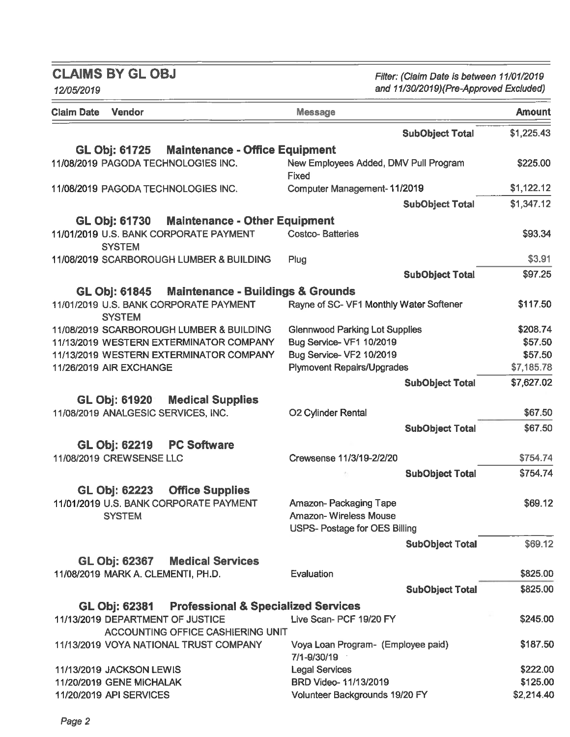Filter: (Claim Date is between 11/01/2019 and 11/30/2019)(Pre-Approved Excluded)

| and 11/30/2019)(Pre-Approved Excluded)<br>12/05/2019                                  |                                                       |               |
|---------------------------------------------------------------------------------------|-------------------------------------------------------|---------------|
| Vendor<br><b>Claim Date</b>                                                           | <b>Message</b>                                        | <b>Amount</b> |
|                                                                                       | <b>SubObject Total</b>                                | \$1,225.43    |
| <b>GL Obj: 61725</b><br><b>Maintenance - Office Equipment</b>                         |                                                       |               |
| 11/08/2019 PAGODA TECHNOLOGIES INC.                                                   | New Employees Added, DMV Pull Program<br><b>Fixed</b> | \$225.00      |
| 11/08/2019 PAGODA TECHNOLOGIES INC.                                                   | Computer Management-11/2019                           | \$1,122.12    |
|                                                                                       | <b>SubObject Total</b>                                | \$1,347.12    |
| GL Obj: 61730 Maintenance - Other Equipment                                           |                                                       |               |
| 11/01/2019 U.S. BANK CORPORATE PAYMENT<br><b>SYSTEM</b>                               | <b>Costco-Batteries</b>                               | \$93.34       |
| 11/08/2019 SCARBOROUGH LUMBER & BUILDING                                              | Plug                                                  | \$3.91        |
|                                                                                       | <b>SubObject Total</b>                                | \$97.25       |
| GL Obj: 61845 Maintenance - Buildings & Grounds                                       |                                                       |               |
| 11/01/2019 U.S. BANK CORPORATE PAYMENT<br><b>SYSTEM</b>                               | Rayne of SC- VF1 Monthly Water Softener               | \$117.50      |
| 11/08/2019 SCARBOROUGH LUMBER & BUILDING                                              | <b>Glennwood Parking Lot Supplies</b>                 | \$208.74      |
| 11/13/2019 WESTERN EXTERMINATOR COMPANY                                               | Bug Service- VF1 10/2019                              | \$57.50       |
| 11/13/2019 WESTERN EXTERMINATOR COMPANY                                               | Bug Service- VF2 10/2019                              | \$57.50       |
| 11/26/2019 AIR EXCHANGE                                                               | <b>Plymovent Repairs/Upgrades</b>                     | \$7,185.78    |
|                                                                                       | <b>SubObject Total</b>                                | \$7,627.02    |
| GL Obj: 61920 Medical Supplies                                                        |                                                       |               |
| 11/08/2019 ANALGESIC SERVICES, INC.                                                   | <b>O2 Cylinder Rental</b>                             | \$67.50       |
|                                                                                       | <b>SubObject Total</b>                                | \$67.50       |
|                                                                                       |                                                       |               |
| GL Obj: 62219<br><b>PC Software</b><br>11/08/2019 CREWSENSE LLC                       |                                                       | \$754.74      |
|                                                                                       | Crewsense 11/3/19-2/2/20                              |               |
|                                                                                       | <b>SubObject Total</b>                                | \$754.74      |
| <b>Office Supplies</b><br>GL Obj: 62223                                               |                                                       |               |
| 11/01/2019 U.S. BANK CORPORATE PAYMENT                                                | Amazon-Packaging Tape                                 | \$69.12       |
| <b>SYSTEM</b>                                                                         | <b>Amazon-Wireless Mouse</b>                          |               |
|                                                                                       | <b>USPS- Postage for OES Billing</b>                  |               |
|                                                                                       | <b>SubObject Total</b>                                | \$69.12       |
| <b>GL Obj: 62367</b><br><b>Medical Services</b>                                       |                                                       |               |
| 11/08/2019 MARK A. CLEMENTI, PH.D.                                                    | Evaluation                                            | \$825.00      |
|                                                                                       | <b>SubObject Total</b>                                | \$825.00      |
|                                                                                       |                                                       |               |
| GL Obj: 62381 Professional & Specialized Services<br>11/13/2019 DEPARTMENT OF JUSTICE | Live Scan- PCF 19/20 FY                               | \$245.00      |
| <b>ACCOUNTING OFFICE CASHIERING UNIT</b>                                              |                                                       |               |
| 11/13/2019 VOYA NATIONAL TRUST COMPANY                                                | Voya Loan Program- (Employee paid)                    | \$187.50      |
|                                                                                       | 7/1-9/30/19                                           |               |
| 11/13/2019 JACKSON LEWIS                                                              | <b>Legal Services</b>                                 | \$222.00      |
| 11/20/2019 GENE MICHALAK                                                              | BRD Video- 11/13/2019                                 | \$125.00      |
| 11/20/2019 API SERVICES                                                               | Volunteer Backgrounds 19/20 FY                        | \$2,214.40    |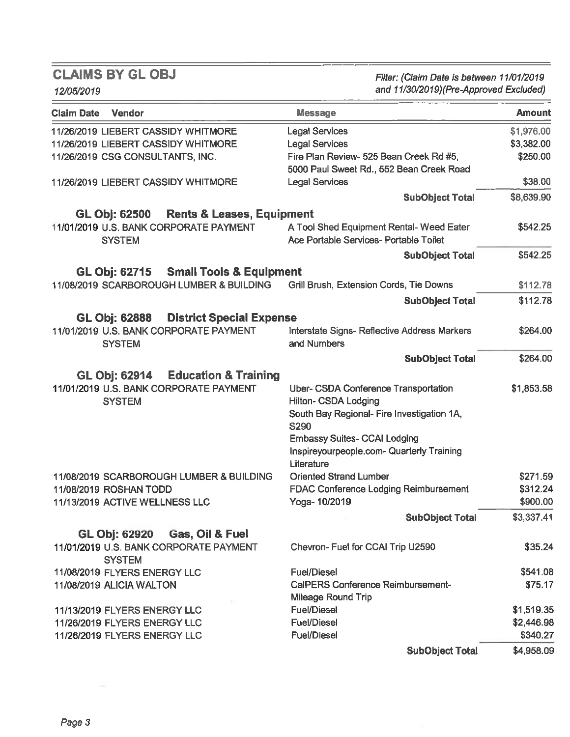12/05/2019

Filter: (Claim Date is between 11/01/2019 and 11/30/2019) (Pre-Approved Excluded)

| <b>Claim Date</b><br><b>Vendor</b>                           | <b>Message</b>                               | <b>Amount</b> |
|--------------------------------------------------------------|----------------------------------------------|---------------|
| 11/26/2019 LIEBERT CASSIDY WHITMORE                          | <b>Legal Services</b>                        | \$1,976.00    |
| 11/26/2019 LIEBERT CASSIDY WHITMORE                          | <b>Legal Services</b>                        | \$3,382.00    |
| 11/26/2019 CSG CONSULTANTS, INC.                             | Fire Plan Review- 525 Bean Creek Rd #5,      | \$250.00      |
|                                                              | 5000 Paul Sweet Rd., 552 Bean Creek Road     |               |
| 11/26/2019 LIEBERT CASSIDY WHITMORE                          | <b>Legal Services</b>                        | \$38.00       |
|                                                              | <b>SubObject Total</b>                       | \$8,639.90    |
| <b>GL Obj: 62500</b><br><b>Rents &amp; Leases, Equipment</b> |                                              |               |
| 11/01/2019 U.S. BANK CORPORATE PAYMENT                       | A Tool Shed Equipment Rental-Weed Eater      | \$542.25      |
| <b>SYSTEM</b>                                                | Ace Portable Services- Portable Toilet       |               |
|                                                              | <b>SubObject Total</b>                       | \$542.25      |
| GL Obj: 62715 Small Tools & Equipment                        |                                              |               |
| 11/08/2019 SCARBOROUGH LUMBER & BUILDING                     | Grill Brush, Extension Cords, Tie Downs      | \$112.78      |
|                                                              | <b>SubObject Total</b>                       | \$112.78      |
| <b>District Special Expense</b><br><b>GL Obj: 62888</b>      |                                              |               |
| 11/01/2019 U.S. BANK CORPORATE PAYMENT                       | Interstate Signs- Reflective Address Markers | \$264.00      |
| <b>SYSTEM</b>                                                | and Numbers                                  |               |
|                                                              | <b>SubObject Total</b>                       | \$264.00      |
| <b>GL Obj: 62914</b><br><b>Education &amp; Training</b>      |                                              |               |
| 11/01/2019 U.S. BANK CORPORATE PAYMENT                       | Uber- CSDA Conference Transportation         | \$1,853.58    |
| <b>SYSTEM</b>                                                | <b>Hilton- CSDA Lodging</b>                  |               |
|                                                              | South Bay Regional- Fire Investigation 1A,   |               |
|                                                              | <b>S290</b>                                  |               |
|                                                              | <b>Embassy Suites- CCAI Lodging</b>          |               |
|                                                              | Inspireyourpeople.com- Quarterly Training    |               |
|                                                              | Literature                                   |               |
| 11/08/2019 SCARBOROUGH LUMBER & BUILDING                     | <b>Oriented Strand Lumber</b>                | \$271.59      |
| 11/08/2019 ROSHAN TODD                                       | <b>FDAC Conference Lodging Reimbursement</b> | \$312.24      |
| 11/13/2019 ACTIVE WELLNESS LLC                               | Yoga-10/2019                                 | \$900.00      |
|                                                              | <b>SubObject Total</b>                       | \$3,337.41    |
| GL Obj: 62920<br>Gas, Oil & Fuel                             |                                              |               |
| 11/01/2019 U.S. BANK CORPORATE PAYMENT                       | Chevron- Fuel for CCAI Trip U2590            | \$35.24       |
| <b>SYSTEM</b>                                                |                                              |               |
| 11/08/2019 FLYERS ENERGY LLC                                 | <b>Fuel/Diesel</b>                           | \$541.08      |
| 11/08/2019 ALICIA WALTON                                     | CalPERS Conference Reimbursement-            | \$75.17       |
|                                                              | <b>Mileage Round Trip</b>                    |               |
| 11/13/2019 FLYERS ENERGY LLC                                 | <b>Fuel/Diesel</b>                           | \$1,519.35    |
| 11/26/2019 FLYERS ENERGY LLC                                 | <b>Fuel/Diesel</b>                           | \$2,446.98    |
| 11/26/2019 FLYERS ENERGY LLC                                 | <b>Fuel/Diesel</b>                           | \$340.27      |
|                                                              | <b>SubObject Total</b>                       | \$4,958.09    |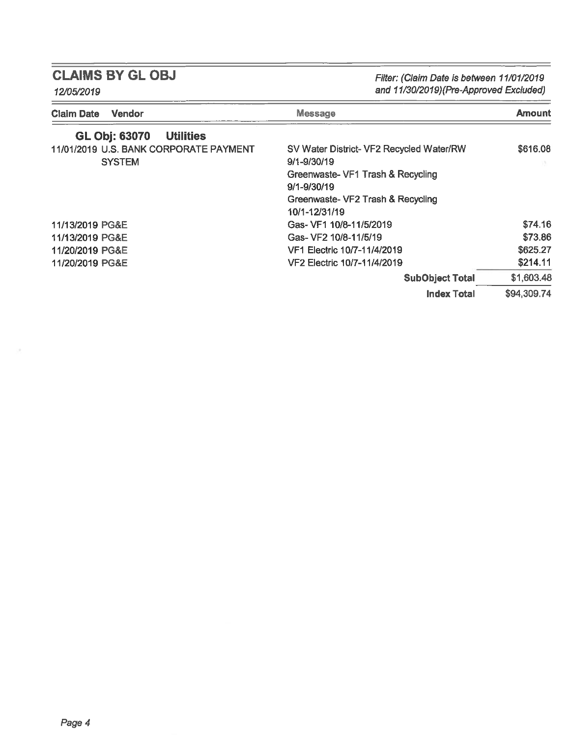Filter: (Claim Date is between 11/01/2019<br>and 11/30/2019)(Pre-Approved Excluded)

| 12/05/2019 |  |
|------------|--|
|------------|--|

| <b>Message</b><br><b>Vendor</b><br><b>Claim Date</b> |                                          | Amount      |
|------------------------------------------------------|------------------------------------------|-------------|
| <b>GL Obj: 63070</b><br><b>Utilities</b>             |                                          |             |
| 11/01/2019 U.S. BANK CORPORATE PAYMENT               | SV Water District- VF2 Recycled Water/RW | \$616.08    |
| <b>SYSTEM</b>                                        | 9/1-9/30/19                              |             |
|                                                      | Greenwaste- VF1 Trash & Recycling        |             |
|                                                      | $9/1 - 9/30/19$                          |             |
|                                                      | Greenwaste- VF2 Trash & Recycling        |             |
|                                                      | 10/1-12/31/19                            |             |
| 11/13/2019 PG&E                                      | Gas- VF1 10/8-11/5/2019                  | \$74.16     |
| 11/13/2019 PG&E                                      | Gas- VF2 10/8-11/5/19                    | \$73.86     |
| 11/20/2019 PG&E                                      | VF1 Electric 10/7-11/4/2019              | \$625.27    |
| 11/20/2019 PG&E                                      | VF2 Electric 10/7-11/4/2019              | \$214.11    |
|                                                      | <b>SubObject Total</b>                   | \$1,603.48  |
|                                                      | <b>Index Total</b>                       | \$94,309.74 |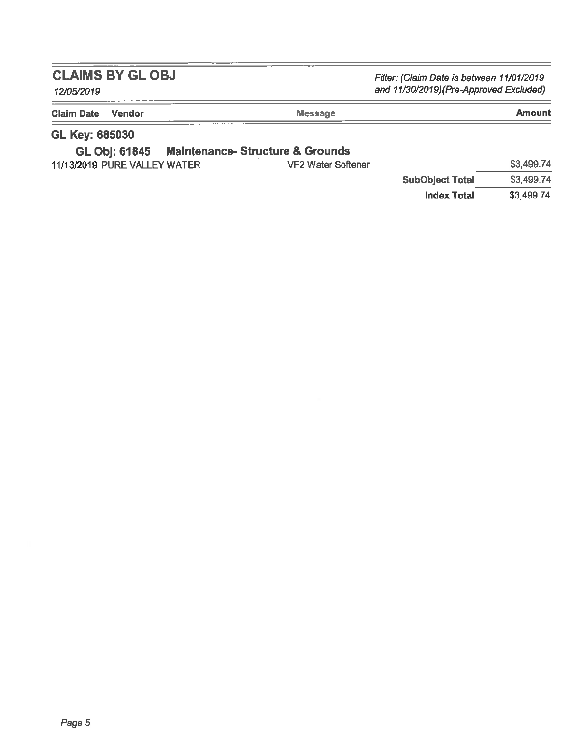Filter: (Claim Date is between 11/01/2019 and 11/30/2019)(Pre-Approved Excluded)

## 12/05/2019

| <b>Claim Date Vendor</b> | <b>Message</b> | Amount                     |
|--------------------------|----------------|----------------------------|
| ALLEL ASESSA             |                | -----<br><b>CONTRACTOR</b> |

### GL Key: 685030

#### **GL Obj: 61845 Maintenance- Structure & Grounds**

| 11/13/2019 PURE VALLEY WATER | VF2 Water Softener |
|------------------------------|--------------------|
|------------------------------|--------------------|

|                        | \$3,499.74 |
|------------------------|------------|
| <b>SubObject Total</b> | \$3,499.74 |
| Index Total            | \$3.499.74 |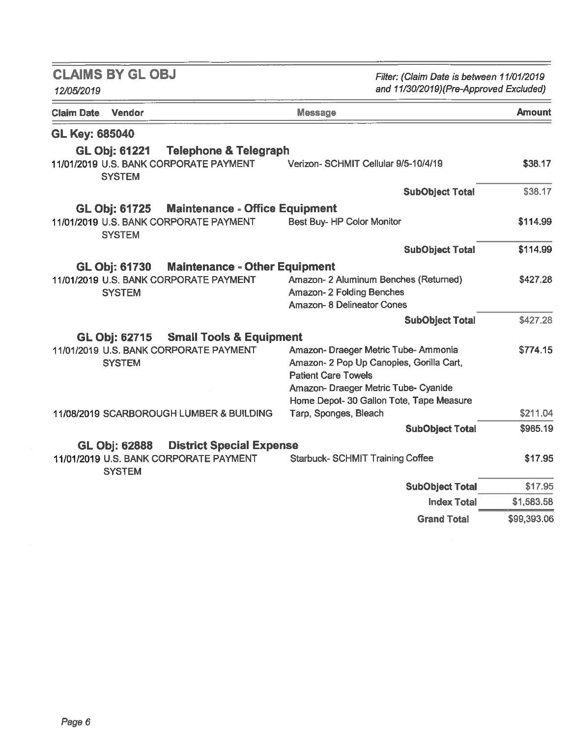| <b>CLAIMS BY GLOBJ</b><br>12/05/2019                                                                                | Filter: (Claim Date is between 11/01/2019<br>and 11/30/2019)(Pre-Approved Excluded)                                                                                                                |             |  |  |
|---------------------------------------------------------------------------------------------------------------------|----------------------------------------------------------------------------------------------------------------------------------------------------------------------------------------------------|-------------|--|--|
| Vendor<br>Claim Date                                                                                                | <b>Message</b>                                                                                                                                                                                     | Amount      |  |  |
| <b>GL Key: 685040</b>                                                                                               |                                                                                                                                                                                                    |             |  |  |
| <b>GL Obj: 61221</b><br><b>Telephone &amp; Telegraph</b><br>11/01/2019 U.S. BANK CORPORATE PAYMENT<br><b>SYSTEM</b> | Verizon- SCHMIT Cellular 9/5-10/4/19                                                                                                                                                               | \$38.17     |  |  |
|                                                                                                                     | <b>SubObject Total</b>                                                                                                                                                                             | \$38.17     |  |  |
| <b>Maintenance - Office Equipment</b><br><b>GL Obj: 61725</b>                                                       |                                                                                                                                                                                                    |             |  |  |
| 11/01/2019 U.S. BANK CORPORATE PAYMENT<br><b>SYSTEM</b>                                                             | Best Buy-HP Color Monitor                                                                                                                                                                          | \$114.99    |  |  |
|                                                                                                                     | <b>SubObject Total</b>                                                                                                                                                                             | \$114.99    |  |  |
| <b>Maintenance - Other Equipment</b><br><b>GL Obj: 61730</b>                                                        |                                                                                                                                                                                                    |             |  |  |
| 11/01/2019 U.S. BANK CORPORATE PAYMENT<br><b>SYSTEM</b>                                                             | Amazon- 2 Aluminum Benches (Returned)<br>Amazon-2 Folding Benches<br><b>Amazon-8 Delineator Cones</b>                                                                                              | \$427.28    |  |  |
|                                                                                                                     | <b>SubObject Total</b>                                                                                                                                                                             | \$427.28    |  |  |
| GL Obj: 62715 Small Tools & Equipment                                                                               |                                                                                                                                                                                                    |             |  |  |
| 11/01/2019 U.S. BANK CORPORATE PAYMENT<br><b>SYSTEM</b>                                                             | Amazon- Draeger Metric Tube- Ammonia<br>Amazon- 2 Pop Up Canopies, Gorilla Cart,<br><b>Patient Care Towels</b><br>Amazon- Draeger Metric Tube- Cyanide<br>Home Depot- 30 Gallon Tote, Tape Measure | \$774.15    |  |  |
| 11/08/2019 SCARBOROUGH LUMBER & BUILDING                                                                            | Tarp, Sponges, Bleach                                                                                                                                                                              | \$211.04    |  |  |
|                                                                                                                     | <b>SubObject Total</b>                                                                                                                                                                             | \$985.19    |  |  |
| <b>District Special Expense</b><br><b>GL Obj: 62888</b>                                                             |                                                                                                                                                                                                    |             |  |  |
| 11/01/2019 U.S. BANK CORPORATE PAYMENT<br><b>SYSTEM</b>                                                             | <b>Starbuck-SCHMIT Training Coffee</b>                                                                                                                                                             | \$17.95     |  |  |
|                                                                                                                     | <b>SubObject Total</b>                                                                                                                                                                             | \$17.95     |  |  |
|                                                                                                                     | <b>Index Total</b>                                                                                                                                                                                 | \$1,583.58  |  |  |
|                                                                                                                     | <b>Grand Total</b>                                                                                                                                                                                 | \$99,393.06 |  |  |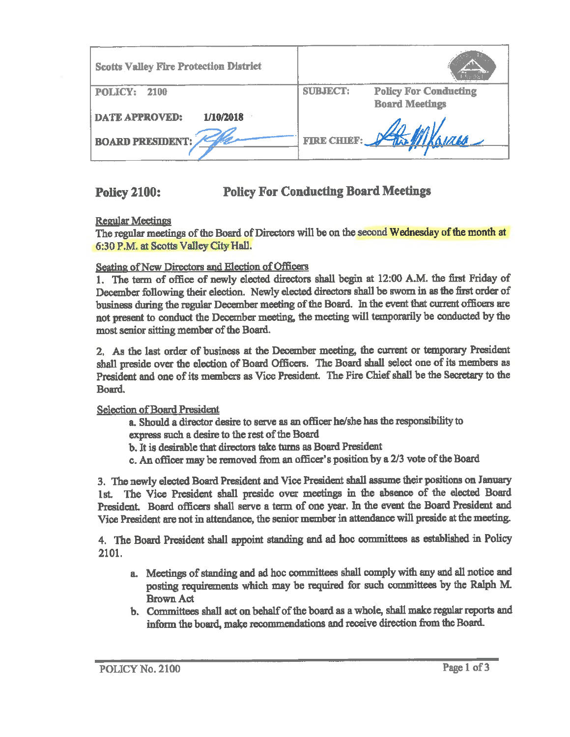| <b>Scotts Valley Fire Protection District</b> |                 |                              |
|-----------------------------------------------|-----------------|------------------------------|
| <b>POLICY:</b><br>- 2100                      | <b>SUBJECT:</b> | <b>Policy For Conducting</b> |
|                                               |                 | <b>Board Meetings</b>        |
| 1/10/2018<br><b>DATE APPROVED:</b>            |                 |                              |
| <b>BOARD PRESIDENT:</b>                       |                 | FIRE CHIEF: Har Milleurs     |

**Policy For Conducting Board Meetings Policy 2100:** 

**Regular Meetings** 

The regular meetings of the Board of Directors will be on the second Wednesday of the month at 6:30 P.M. at Scotts Valley City Hall.

Seating of New Directors and Election of Officers

1. The term of office of newly elected directors shall begin at 12:00 A.M. the first Friday of December following their election. Newly elected directors shall be sworn in as the first order of business during the regular December meeting of the Board. In the event that current officers are not present to conduct the December meeting, the meeting will temporarily be conducted by the most senior sitting member of the Board.

2. As the last order of business at the December meeting, the current or temporary President shall preside over the election of Board Officers. The Board shall select one of its members as President and one of its members as Vice President. The Fire Chief shall be the Secretary to the Board.

**Selection of Board President** 

- a. Should a director desire to serve as an officer he/she has the responsibility to express such a desire to the rest of the Board
- b. It is desirable that directors take turns as Board President
- c. An officer may be removed from an officer's position by a 2/3 vote of the Board

3. The newly elected Board President and Vice President shall assume their positions on January 1st. The Vice President shall preside over meetings in the absence of the elected Board President. Board officers shall serve a term of one year. In the event the Board President and Vice President are not in attendance, the senior member in attendance will preside at the meeting.

4. The Board President shall appoint standing and ad hoc committees as established in Policy 2101.

- a. Meetings of standing and ad hoc committees shall comply with any and all notice and posting requirements which may be required for such committees by the Ralph M. **Brown Act**
- b. Committees shall act on behalf of the board as a whole, shall make regular reports and inform the board, make recommendations and receive direction from the Board.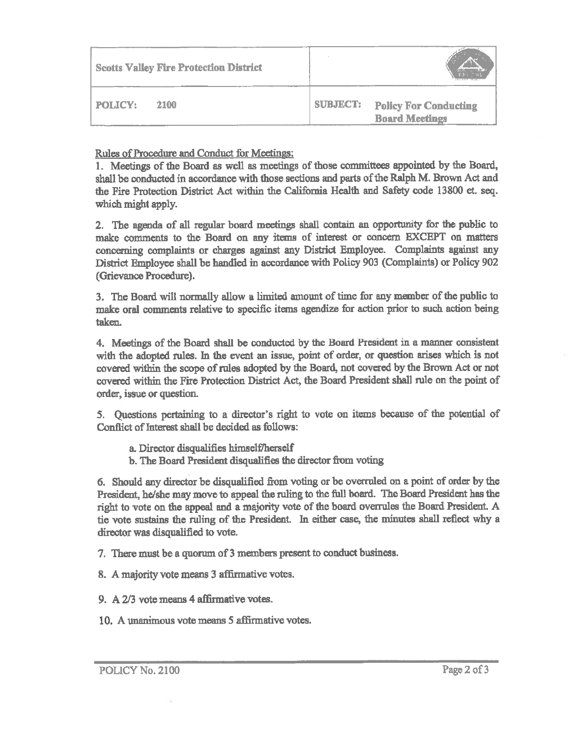| <b>Scotts Valley Fire Protection District</b> |                 |                                                       |
|-----------------------------------------------|-----------------|-------------------------------------------------------|
| 2100<br><b>POLICY:</b>                        | <b>SUBJECT:</b> | <b>Policy For Conducting</b><br><b>Board Meetings</b> |

Rules of Procedure and Conduct for Meetings:

1. Meetings of the Board as well as meetings of those committees appointed by the Board, shall be conducted in accordance with those sections and parts of the Ralph M. Brown Act and the Fire Protection District Act within the California Health and Safety code 13800 et. seq. which might apply.

2. The agenda of all regular board meetings shall contain an opportunity for the public to make comments to the Board on any items of interest or concern EXCEPT on matters concerning complaints or charges against any District Employee. Complaints against any District Employee shall be handled in accordance with Policy 903 (Complaints) or Policy 902 (Grievance Procedure).

3. The Board will normally allow a limited amount of time for any member of the public to make oral comments relative to specific items agendize for action prior to such action being taken.

4. Meetings of the Board shall be conducted by the Board President in a manner consistent with the adopted rules. In the event an issue, point of order, or question arises which is not covered within the scope of rules adopted by the Board, not covered by the Brown Act or not covered within the Fire Protection District Act, the Board President shall rule on the point of order, issue or question.

5. Questions pertaining to a director's right to vote on items because of the potential of Conflict of Interest shall be decided as follows:

- a. Director disqualifies himself/herself
- b. The Board President disqualifies the director from voting

6. Should any director be disqualified from voting or be overruled on a point of order by the President, he/she may move to appeal the ruling to the full board. The Board President has the right to vote on the appeal and a majority vote of the board overrules the Board President. A tie vote sustains the ruling of the President. In either case, the minutes shall reflect why a director was disqualified to vote.

- 7. There must be a quorum of 3 members present to conduct business.
- 8. A majority vote means 3 affirmative votes.
- 9. A 2/3 vote means 4 affirmative votes.
- 10. A unanimous vote means 5 affirmative votes.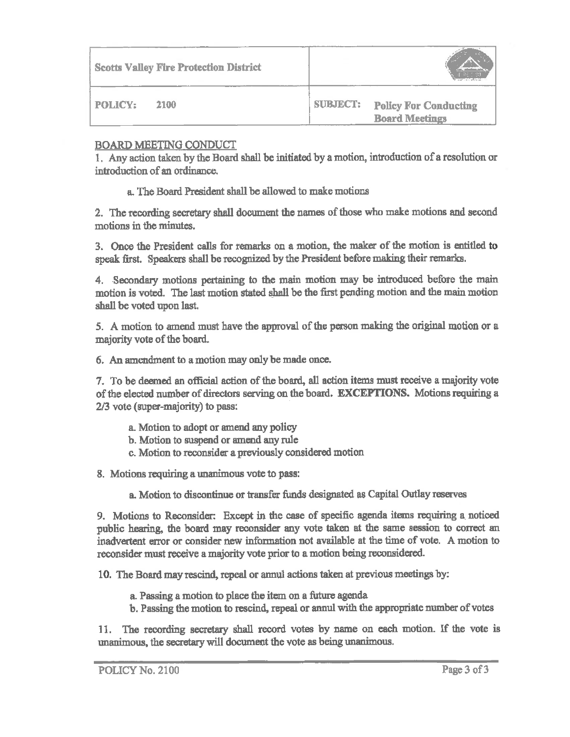| <b>Scotts Valley Fire Protection District</b> |                                                                          |
|-----------------------------------------------|--------------------------------------------------------------------------|
| <b>POLICY:</b><br>2100                        | <b>SUBJECT:</b><br><b>Policy For Conducting</b><br><b>Board Meetings</b> |

### **BOARD MEETING CONDUCT**

1. Any action taken by the Board shall be initiated by a motion, introduction of a resolution or introduction of an ordinance.

a. The Board President shall be allowed to make motions

2. The recording secretary shall document the names of those who make motions and second motions in the minutes.

3. Once the President calls for remarks on a motion, the maker of the motion is entitled to speak first. Speakers shall be recognized by the President before making their remarks.

4. Secondary motions pertaining to the main motion may be introduced before the main motion is voted. The last motion stated shall be the first pending motion and the main motion shall be voted upon last.

5. A motion to amend must have the approval of the person making the original motion or a majority vote of the board.

6. An amendment to a motion may only be made once.

7. To be deemed an official action of the board, all action items must receive a majority vote of the elected number of directors serving on the board. EXCEPTIONS. Motions requiring a 2/3 vote (super-majority) to pass:

- a. Motion to adopt or amend any policy
- b. Motion to suspend or amend any rule
- c. Motion to reconsider a previously considered motion

8. Motions requiring a unanimous vote to pass:

a. Motion to discontinue or transfer funds designated as Capital Outlay reserves

9. Motions to Reconsider: Except in the case of specific agenda items requiring a noticed public hearing, the board may reconsider any vote taken at the same session to correct an inadvertent error or consider new information not available at the time of vote. A motion to reconsider must receive a majority vote prior to a motion being reconsidered.

10. The Board may rescind, repeal or annul actions taken at previous meetings by:

- a. Passing a motion to place the item on a future agenda
- b. Passing the motion to rescind, repeal or annul with the appropriate number of votes

11. The recording secretary shall record votes by name on each motion. If the vote is unanimous, the secretary will document the vote as being unanimous.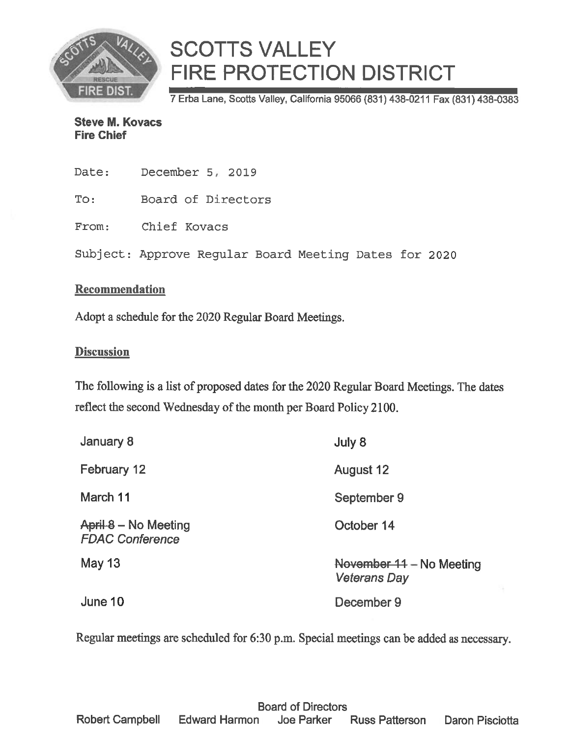

7 Erba Lane, Scotts Valley, California 95066 (831) 438-0211 Fax (831) 438-0383

**Steve M. Kovacs Fire Chief** 

| Date: | December 5, 2019                                      |
|-------|-------------------------------------------------------|
| To:   | Board of Directors                                    |
|       | From: Chief Kovacs                                    |
|       | Subject: Approve Regular Board Meeting Dates for 2020 |

### Recommendation

Adopt a schedule for the 2020 Regular Board Meetings.

### **Discussion**

The following is a list of proposed dates for the 2020 Regular Board Meetings. The dates reflect the second Wednesday of the month per Board Policy 2100.

| January 8                                      | July 8                                          |
|------------------------------------------------|-------------------------------------------------|
| February 12                                    | August 12                                       |
| March 11                                       | September 9                                     |
| April 8 – No Meeting<br><b>FDAC Conference</b> | October 14                                      |
| <b>May 13</b>                                  | November 11 - No Meeting<br><b>Veterans Day</b> |
| June 10                                        | December 9                                      |

Regular meetings are scheduled for 6:30 p.m. Special meetings can be added as necessary.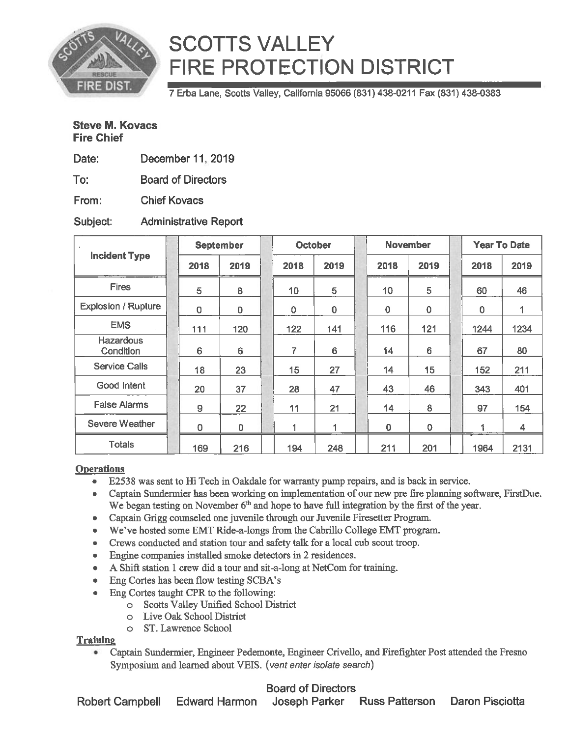

7 Erba Lane, Scotts Valley, California 95066 (831) 438-0211 Fax (831) 438-0383

### **Steve M. Kovacs Fire Chief**

| Date: | December 11, 2019 |  |  |
|-------|-------------------|--|--|
|-------|-------------------|--|--|

To: **Board of Directors** 

From: **Chief Kovacs** 

#### Subject: **Administrative Report**

| <b>Incident Type</b>          |  | <b>September</b> |                | <b>October</b> |             | <b>November</b> |                 |  | <b>Year To Date</b> |      |  |
|-------------------------------|--|------------------|----------------|----------------|-------------|-----------------|-----------------|--|---------------------|------|--|
|                               |  | 2018             | 2019           | 2018           | 2019        | 2018            | 2019            |  | 2018                | 2019 |  |
| <b>Fires</b>                  |  | 5                | 8              | 10             | 5           | 10              | 5               |  | 60                  | 46   |  |
| <b>Explosion / Rupture</b>    |  | $\mathbf 0$      | 0              | $\mathbf 0$    | $\mathbf 0$ | $\overline{0}$  | $\mathbf 0$     |  | $\mathbf 0$         |      |  |
| <b>EMS</b>                    |  | 111              | 120            | 122            | 141         | 116             | 121             |  | 1244                | 1234 |  |
| <b>Hazardous</b><br>Condition |  | 6                | $6\phantom{1}$ | 7              | 6           | 14              | $6\phantom{1}$  |  | 67                  | 80   |  |
| <b>Service Calls</b>          |  | 18               | 23             | 15             | 27          | 14              | 15 <sub>1</sub> |  | 152                 | 211  |  |
| Good Intent                   |  | 20               | 37             | 28             | 47          | 43              | 46              |  | 343                 | 401  |  |
| <b>False Alarms</b>           |  | 9                | 22             | 11             | 21          | 14              | 8               |  | 97                  | 154  |  |
| <b>Severe Weather</b>         |  | 0                | 0              | 1              | 1           | 0               | 0               |  | 1                   | 4    |  |
| <b>Totals</b>                 |  | 169              | 216            | 194            | 248         | 211             | 201             |  | 1964                | 2131 |  |

### **Operations**

- E2538 was sent to Hi Tech in Oakdale for warranty pump repairs, and is back in service.
- Captain Sundermier has been working on implementation of our new pre fire planning software, FirstDue. We began testing on November  $6<sup>th</sup>$  and hope to have full integration by the first of the year.
- Captain Grigg counseled one juvenile through our Juvenile Firesetter Program.
- We've hosted some EMT Ride-a-longs from the Cabrillo College EMT program.
- Crews conducted and station tour and safety talk for a local cub scout troop.
- Engine companies installed smoke detectors in 2 residences.
- A Shift station 1 crew did a tour and sit-a-long at NetCom for training.
- Eng Cortes has been flow testing SCBA's  $\bullet$
- $\bullet$ Eng Cortes taught CPR to the following:
	- o Scotts Valley Unified School District
	- o Live Oak School District
	- $\circ$ ST. Lawrence School

### **Training**

Captain Sundermier, Engineer Pedemonte, Engineer Crivello, and Firefighter Post attended the Fresno  $\bullet$ Symposium and learned about VEIS. (vent enter isolate search)

### **Board of Directors**

Joseph Parker Russ Patterson Daron Pisciotta **Robert Campbell Edward Harmon**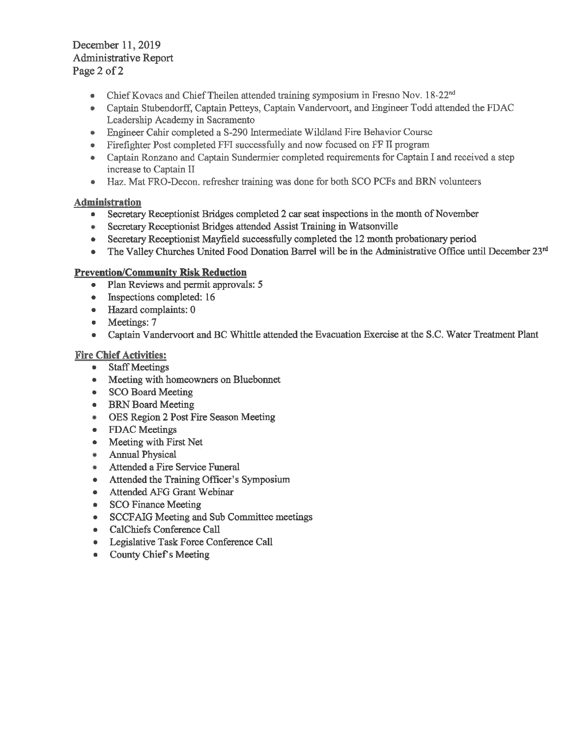December 11, 2019 **Administrative Report** Page 2 of 2

- Chief Kovacs and Chief Theilen attended training symposium in Fresno Nov. 18-22<sup>nd</sup>  $\bullet$
- Captain Stubendorff, Captain Petteys, Captain Vandervoort, and Engineer Todd attended the FDAC Leadership Academy in Sacramento
- Engineer Cahir completed a S-290 Intermediate Wildland Fire Behavior Course
- Firefighter Post completed FFI successfully and now focused on FF II program  $\bullet$
- Captain Ronzano and Captain Sundermier completed requirements for Captain I and received a step increase to Captain II
- Haz. Mat FRO-Decon, refresher training was done for both SCO PCFs and BRN volunteers

### **Administration**

- Secretary Receptionist Bridges completed 2 car seat inspections in the month of November  $\bullet$
- Secretary Receptionist Bridges attended Assist Training in Watsonville  $\bullet$
- Secretary Receptionist Mayfield successfully completed the 12 month probationary period  $\bullet$
- The Valley Churches United Food Donation Barrel will be in the Administrative Office until December 23rd  $\bullet$

### **Prevention/Community Risk Reduction**

- Plan Reviews and permit approvals: 5
- Inspections completed: 16  $\bullet$
- Hazard complaints: 0
- $\bullet$  Meetings: 7
- Captain Vandervoort and BC Whittle attended the Evacuation Exercise at the S.C. Water Treatment Plant  $\bullet$

### **Fire Chief Activities:**

- Staff Meetings
- Meeting with homeowners on Bluebonnet
- SCO Board Meeting
- BRN Board Meeting
- OES Region 2 Post Fire Season Meeting
- **FDAC** Meetings  $\bullet$
- Meeting with First Net  $\bullet$
- **Annual Physical**
- Attended a Fire Service Funeral ۰
- Attended the Training Officer's Symposium  $\bullet$
- Attended AFG Grant Webinar  $\bullet$
- **SCO Finance Meeting**  $\bullet$
- **SCCFAIG Meeting and Sub Committee meetings**  $\bullet$  .
- CalChiefs Conference Call
- Legislative Task Force Conference Call
- County Chief's Meeting